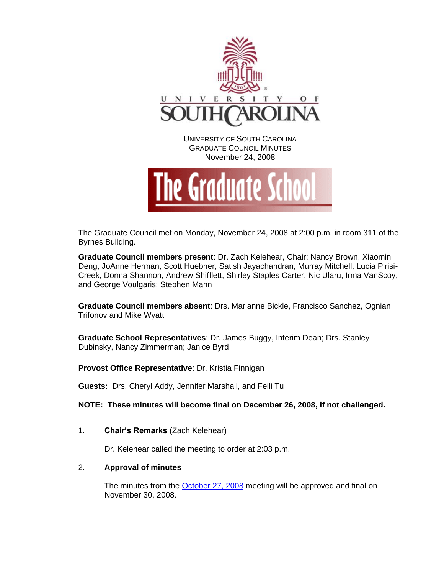

November 24, 2008



The Graduate Council met on Monday, November 24, 2008 at 2:00 p.m. in room 311 of the Byrnes Building.

**Graduate Council members present**: Dr. Zach Kelehear, Chair; Nancy Brown, Xiaomin Deng, JoAnne Herman, Scott Huebner, Satish Jayachandran, Murray Mitchell, Lucia Pirisi-Creek, Donna Shannon, Andrew Shifflett, Shirley Staples Carter, Nic Ularu, Irma VanScoy, and George Voulgaris; Stephen Mann

**Graduate Council members absent**: Drs. Marianne Bickle, Francisco Sanchez, Ognian Trifonov and Mike Wyatt

**Graduate School Representatives**: Dr. James Buggy, Interim Dean; Drs. Stanley Dubinsky, Nancy Zimmerman; Janice Byrd

**Provost Office Representative**: Dr. Kristia Finnigan

**Guests:** Drs. Cheryl Addy, Jennifer Marshall, and Feili Tu

**NOTE: These minutes will become final on December 26, 2008, if not challenged.**

1. **Chair's Remarks** (Zach Kelehear)

Dr. Kelehear called the meeting to order at 2:03 p.m.

# 2. **Approval of minutes**

The minutes from the **October 27, 2008** meeting will be approved and final on November 30, 2008.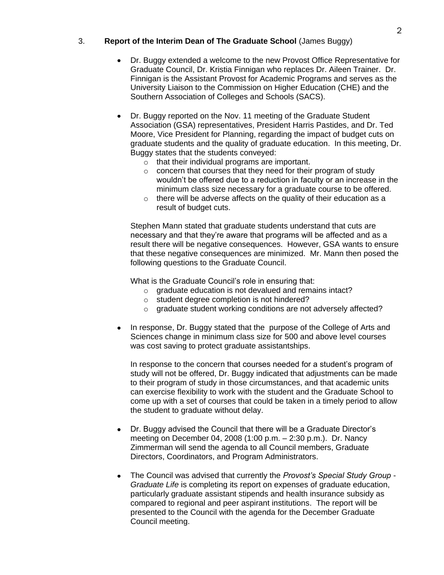# 3. **Report of the Interim Dean of The Graduate School** (James Buggy)

- Dr. Buggy extended a welcome to the new Provost Office Representative for Graduate Council, Dr. Kristia Finnigan who replaces Dr. Aileen Trainer. Dr. Finnigan is the Assistant Provost for Academic Programs and serves as the University Liaison to the Commission on Higher Education (CHE) and the Southern Association of Colleges and Schools (SACS).
- Dr. Buggy reported on the Nov. 11 meeting of the Graduate Student Association (GSA) representatives, President Harris Pastides, and Dr. Ted Moore, Vice President for Planning, regarding the impact of budget cuts on graduate students and the quality of graduate education. In this meeting, Dr. Buggy states that the students conveyed:
	- o that their individual programs are important.
	- o concern that courses that they need for their program of study wouldn't be offered due to a reduction in faculty or an increase in the minimum class size necessary for a graduate course to be offered.
	- $\circ$  there will be adverse affects on the quality of their education as a result of budget cuts.

Stephen Mann stated that graduate students understand that cuts are necessary and that they're aware that programs will be affected and as a result there will be negative consequences. However, GSA wants to ensure that these negative consequences are minimized. Mr. Mann then posed the following questions to the Graduate Council.

What is the Graduate Council's role in ensuring that:

- o graduate education is not devalued and remains intact?
- o student degree completion is not hindered?
- o graduate student working conditions are not adversely affected?
- In response, Dr. Buggy stated that the purpose of the College of Arts and Sciences change in minimum class size for 500 and above level courses was cost saving to protect graduate assistantships.

In response to the concern that courses needed for a student's program of study will not be offered, Dr. Buggy indicated that adjustments can be made to their program of study in those circumstances, and that academic units can exercise flexibility to work with the student and the Graduate School to come up with a set of courses that could be taken in a timely period to allow the student to graduate without delay.

- Dr. Buggy advised the Council that there will be a Graduate Director's meeting on December 04, 2008 (1:00 p.m. – 2:30 p.m.). Dr. Nancy Zimmerman will send the agenda to all Council members, Graduate Directors, Coordinators, and Program Administrators.
- $\bullet$ The Council was advised that currently the *Provost's Special Study Group* - *Graduate Life* is completing its report on expenses of graduate education, particularly graduate assistant stipends and health insurance subsidy as compared to regional and peer aspirant institutions. The report will be presented to the Council with the agenda for the December Graduate Council meeting.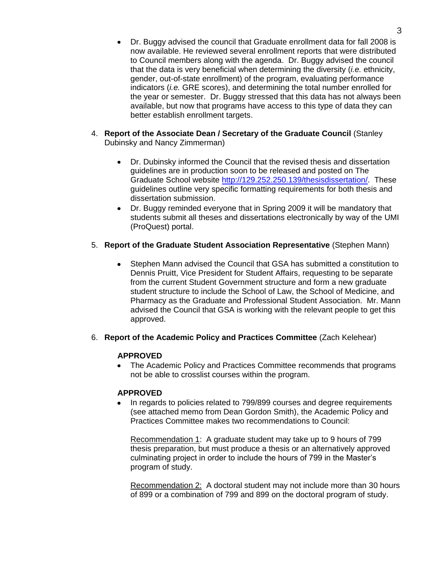- Dr. Buggy advised the council that Graduate enrollment data for fall 2008 is now available. He reviewed several enrollment reports that were distributed to Council members along with the agenda. Dr. Buggy advised the council that the data is very beneficial when determining the diversity (*i.e.* ethnicity, gender, out-of-state enrollment) of the program, evaluating performance indicators (*i.e.* GRE scores), and determining the total number enrolled for the year or semester. Dr. Buggy stressed that this data has not always been available, but now that programs have access to this type of data they can better establish enrollment targets.
- 4. **Report of the Associate Dean / Secretary of the Graduate Council** (Stanley Dubinsky and Nancy Zimmerman)
	- Dr. Dubinsky informed the Council that the revised thesis and dissertation  $\bullet$ guidelines are in production soon to be released and posted on The Graduate School website [http://129.252.250.139/thesisdissertation/.](http://129.252.250.139/thesisdissertation/) These guidelines outline very specific formatting requirements for both thesis and dissertation submission.
	- Dr. Buggy reminded everyone that in Spring 2009 it will be mandatory that students submit all theses and dissertations electronically by way of the UMI (ProQuest) portal.

# 5. **Report of the Graduate Student Association Representative** (Stephen Mann)

- Stephen Mann advised the Council that GSA has submitted a constitution to Dennis Pruitt, Vice President for Student Affairs, requesting to be separate from the current Student Government structure and form a new graduate student structure to include the School of Law, the School of Medicine, and Pharmacy as the Graduate and Professional Student Association. Mr. Mann advised the Council that GSA is working with the relevant people to get this approved.
- 6. **Report of the Academic Policy and Practices Committee** (Zach Kelehear)

# **APPROVED**

The Academic Policy and Practices Committee recommends that programs  $\bullet$ not be able to crosslist courses within the program.

# **APPROVED**

In regards to policies related to 799/899 courses and degree requirements (see attached memo from Dean Gordon Smith), the Academic Policy and Practices Committee makes two recommendations to Council:

Recommendation 1: A graduate student may take up to 9 hours of 799 thesis preparation, but must produce a thesis or an alternatively approved culminating project in order to include the hours of 799 in the Master's program of study.

Recommendation 2: A doctoral student may not include more than 30 hours of 899 or a combination of 799 and 899 on the doctoral program of study.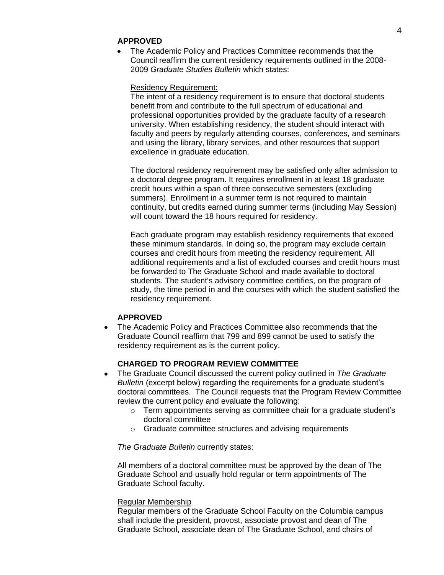#### **APPROVED**

The Academic Policy and Practices Committee recommends that the Council reaffirm the current residency requirements outlined in the 2008- 2009 *Graduate Studies Bulletin* which states:

#### Residency Requirement:

The intent of a residency requirement is to ensure that doctoral students benefit from and contribute to the full spectrum of educational and professional opportunities provided by the graduate faculty of a research university. When establishing residency, the student should interact with faculty and peers by regularly attending courses, conferences, and seminars and using the library, library services, and other resources that support excellence in graduate education.

The doctoral residency requirement may be satisfied only after admission to a doctoral degree program. It requires enrollment in at least 18 graduate credit hours within a span of three consecutive semesters (excluding summers). Enrollment in a summer term is not required to maintain continuity, but credits earned during summer terms (including May Session) will count toward the 18 hours required for residency.

Each graduate program may establish residency requirements that exceed these minimum standards. In doing so, the program may exclude certain courses and credit hours from meeting the residency requirement. All additional requirements and a list of excluded courses and credit hours must be forwarded to The Graduate School and made available to doctoral students. The student's advisory committee certifies, on the program of study, the time period in and the courses with which the student satisfied the residency requirement.

#### **APPROVED**

The Academic Policy and Practices Committee also recommends that the  $\bullet$ Graduate Council reaffirm that 799 and 899 cannot be used to satisfy the residency requirement as is the current policy.

## **CHARGED TO PROGRAM REVIEW COMMITTEE**

- The Graduate Council discussed the current policy outlined in *The Graduate Bulletin* (excerpt below) regarding the requirements for a graduate student's doctoral committees. The Council requests that the Program Review Committee review the current policy and evaluate the following:
	- $\circ$  Term appointments serving as committee chair for a graduate student's doctoral committee
	- o Graduate committee structures and advising requirements

#### *The Graduate Bulletin* currently states:

All members of a doctoral committee must be approved by the dean of The Graduate School and usually hold regular or term appointments of The Graduate School faculty.

#### Regular Membership

Regular members of the Graduate School Faculty on the Columbia campus shall include the president, provost, associate provost and dean of The Graduate School, associate dean of The Graduate School, and chairs of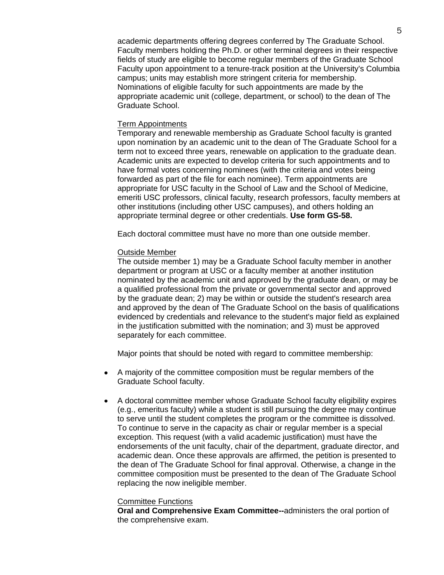academic departments offering degrees conferred by The Graduate School. Faculty members holding the Ph.D. or other terminal degrees in their respective fields of study are eligible to become regular members of the Graduate School Faculty upon appointment to a tenure-track position at the University's Columbia campus; units may establish more stringent criteria for membership. Nominations of eligible faculty for such appointments are made by the appropriate academic unit (college, department, or school) to the dean of The Graduate School.

#### Term Appointments

Temporary and renewable membership as Graduate School faculty is granted upon nomination by an academic unit to the dean of The Graduate School for a term not to exceed three years, renewable on application to the graduate dean. Academic units are expected to develop criteria for such appointments and to have formal votes concerning nominees (with the criteria and votes being forwarded as part of the file for each nominee). Term appointments are appropriate for USC faculty in the School of Law and the School of Medicine, emeriti USC professors, clinical faculty, research professors, faculty members at other institutions (including other USC campuses), and others holding an appropriate terminal degree or other credentials. **Use form GS-58.**

Each doctoral committee must have no more than one outside member.

#### Outside Member

The outside member 1) may be a Graduate School faculty member in another department or program at USC or a faculty member at another institution nominated by the academic unit and approved by the graduate dean, or may be a qualified professional from the private or governmental sector and approved by the graduate dean; 2) may be within or outside the student's research area and approved by the dean of The Graduate School on the basis of qualifications evidenced by credentials and relevance to the student's major field as explained in the justification submitted with the nomination; and 3) must be approved separately for each committee.

Major points that should be noted with regard to committee membership:

- A majority of the committee composition must be regular members of the  $\bullet$ Graduate School faculty.
- A doctoral committee member whose Graduate School faculty eligibility expires (e.g., emeritus faculty) while a student is still pursuing the degree may continue to serve until the student completes the program or the committee is dissolved. To continue to serve in the capacity as chair or regular member is a special exception. This request (with a valid academic justification) must have the endorsements of the unit faculty, chair of the department, graduate director, and academic dean. Once these approvals are affirmed, the petition is presented to the dean of The Graduate School for final approval. Otherwise, a change in the committee composition must be presented to the dean of The Graduate School replacing the now ineligible member.

#### Committee Functions

**Oral and Comprehensive Exam Committee--**administers the oral portion of the comprehensive exam.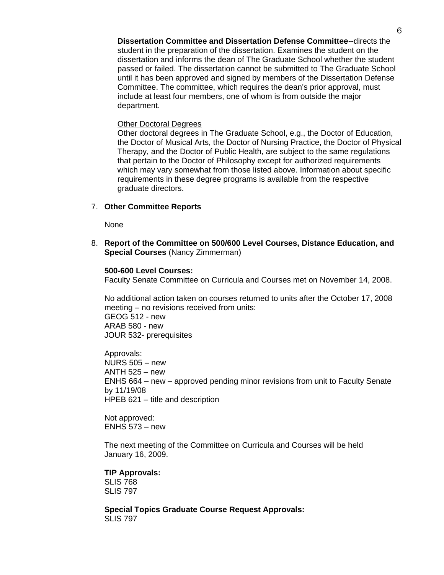#### Other Doctoral Degrees

Other doctoral degrees in The Graduate School, e.g., the Doctor of Education, the Doctor of Musical Arts, the Doctor of Nursing Practice, the Doctor of Physical Therapy, and the Doctor of Public Health, are subject to the same regulations that pertain to the Doctor of Philosophy except for authorized requirements which may vary somewhat from those listed above. Information about specific requirements in these degree programs is available from the respective graduate directors.

#### 7. **Other Committee Reports**

None

8. **Report of the Committee on 500/600 Level Courses, Distance Education, and Special Courses** (Nancy Zimmerman)

#### **500-600 Level Courses:**

Faculty Senate Committee on Curricula and Courses met on November 14, 2008.

No additional action taken on courses returned to units after the October 17, 2008 meeting – no revisions received from units: GEOG 512 - new ARAB 580 - new JOUR 532- prerequisites

Approvals: NURS 505 – new ANTH 525 – new ENHS 664 – new – approved pending minor revisions from unit to Faculty Senate by 11/19/08 HPEB 621 – title and description

Not approved: ENHS 573 – new

The next meeting of the Committee on Curricula and Courses will be held January 16, 2009.

**TIP Approvals:** SLIS 768 SLIS 797

**Special Topics Graduate Course Request Approvals:** SLIS 797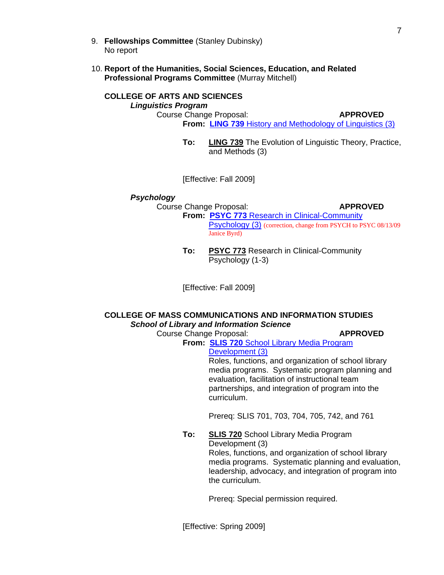- 9. **Fellowships Committee** (Stanley Dubinsky) No report
- 10. **Report of the Humanities, Social Sciences, Education, and Related Professional Programs Committee** (Murray Mitchell)

# **COLLEGE OF ARTS AND SCIENCES**

*Linguistics Program*

Course Change Proposal: **APPROVED**

**From: LING 739** [History and Methodology of Linguistics \(3\)](http://www.gradschool.sc.edu/gradcouncil/Curricula/CCP%20LING%20739.pdf)

**To: LING 739** The Evolution of Linguistic Theory, Practice, and Methods (3)

[Effective: Fall 2009]

#### *Psychology*

Course Change Proposal: **APPROVED From: PSYC 773** [Research in Clinical-Community](http://www.gradschool.sc.edu/gradcouncil/Curricula/CCP%20PSYC%20773.PDF)  [Psychology \(3\)](http://www.gradschool.sc.edu/gradcouncil/Curricula/CCP%20PSYC%20773.PDF) (correction, change from PSYCH to PSYC 08/13/09 Janice Byrd)

> **To: PSYC 773** Research in Clinical-Community Psychology (1-3)

[Effective: Fall 2009]

# **COLLEGE OF MASS COMMUNICATIONS AND INFORMATION STUDIES** *School of Library and Information Science*

# Course Change Proposal: **APPROVED**

**From: SLIS 720** [School Library Media Program](http://www.gradschool.sc.edu/gradcouncil/Curricula/CCP%20SLIS%20720.pdf)

[Development \(3\)](http://www.gradschool.sc.edu/gradcouncil/Curricula/CCP%20SLIS%20720.pdf)

Roles, functions, and organization of school library media programs. Systematic program planning and evaluation, facilitation of instructional team partnerships, and integration of program into the curriculum.

Prereq: SLIS 701, 703, 704, 705, 742, and 761

**To: SLIS 720** School Library Media Program Development (3)

Roles, functions, and organization of school library media programs. Systematic planning and evaluation, leadership, advocacy, and integration of program into the curriculum.

Prereq: Special permission required.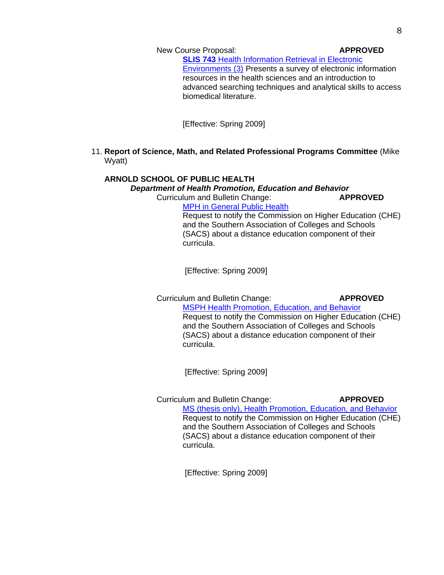New Course Proposal: **APPROVED**

**SLIS 743 Health Information Retrieval in Electronic** [Environments \(3\)](http://www.gradschool.sc.edu/gradcouncil/Curricula/TIP%20NCP%20SLIS%20743.pdf) Presents a survey of electronic information resources in the health sciences and an introduction to advanced searching techniques and analytical skills to access biomedical literature.

[Effective: Spring 2009]

### 11. **Report of Science, Math, and Related Professional Programs Committee** (Mike Wyatt)

# **ARNOLD SCHOOL OF PUBLIC HEALTH**

*Department of Health Promotion, Education and Behavior* Curriculum and Bulletin Change: **APPROVED**

[MPH in General Public Health](http://www.gradschool.sc.edu/gradcouncil/Curricula/CBC%20MPH%20General%20Public%20Health.pdf)

Request to notify the Commission on Higher Education (CHE) and the Southern Association of Colleges and Schools (SACS) about a distance education component of their curricula.

[Effective: Spring 2009]

Curriculum and Bulletin Change: **APPROVED** [MSPH Health Promotion, Education, and Behavior](http://www.gradschool.sc.edu/gradcouncil/Curricula/CBC%20HPEB103108.pdf)

Request to notify the Commission on Higher Education (CHE) and the Southern Association of Colleges and Schools (SACS) about a distance education component of their curricula.

[Effective: Spring 2009]

# Curriculum and Bulletin Change: **APPROVED**

[MS \(thesis only\), Health Promotion, Education, and Behavior](http://www.gradschool.sc.edu/gradcouncil/Curricula/CBC%20MS%20(thesis%20only).pdf) Request to notify the Commission on Higher Education (CHE) and the Southern Association of Colleges and Schools (SACS) about a distance education component of their curricula.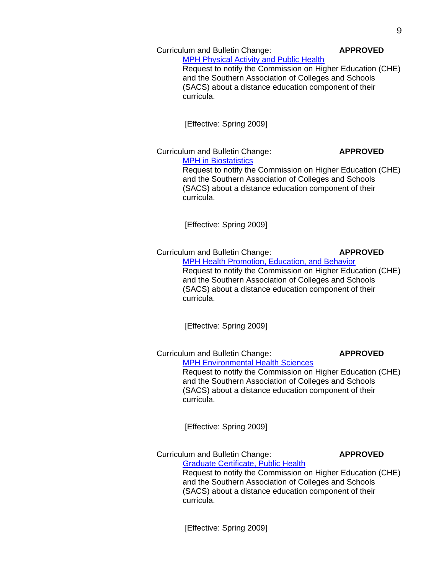#### Curriculum and Bulletin Change: **APPROVED**

# **[MPH Physical Activity and Public Health](http://www.gradschool.sc.edu/gradcouncil/Curricula/CBC%20Physical%20Activity%20and%20Public%20Health.pdf)**

Request to notify the Commission on Higher Education (CHE) and the Southern Association of Colleges and Schools (SACS) about a distance education component of their curricula.

[Effective: Spring 2009]

Curriculum and Bulletin Change: **APPROVED** [MPH in Biostatistics](http://www.gradschool.sc.edu/gradcouncil/Curricula/CBC%20Biostatistics.pdf) Request to notify the Commission on Higher Education (CHE) and the Southern Association of Colleges and Schools (SACS) about a distance education component of their curricula.

[Effective: Spring 2009]

Curriculum and Bulletin Change: **APPROVED** [MPH Health Promotion, Education, and Behavior](http://www.gradschool.sc.edu/gradcouncil/Curricula/CBC%20Health%20Promotion%20Education%20and%20Behavior.pdf) Request to notify the Commission on Higher Education (CHE) and the Southern Association of Colleges and Schools (SACS) about a distance education component of their curricula.

[Effective: Spring 2009]

Curriculum and Bulletin Change: **APPROVED**

**[MPH Environmental Health Sciences](http://www.gradschool.sc.edu/gradcouncil/Curricula/CBC%20Environmental%20Health%20Sciences.pdf)** Request to notify the Commission on Higher Education (CHE) and the Southern Association of Colleges and Schools (SACS) about a distance education component of their curricula.

[Effective: Spring 2009]

Curriculum and Bulletin Change: **APPROVED** [Graduate Certificate, Public Health](http://www.gradschool.sc.edu/gradcouncil/Curricula/CBC%20Public%20Health.pdf)

Request to notify the Commission on Higher Education (CHE) and the Southern Association of Colleges and Schools (SACS) about a distance education component of their curricula.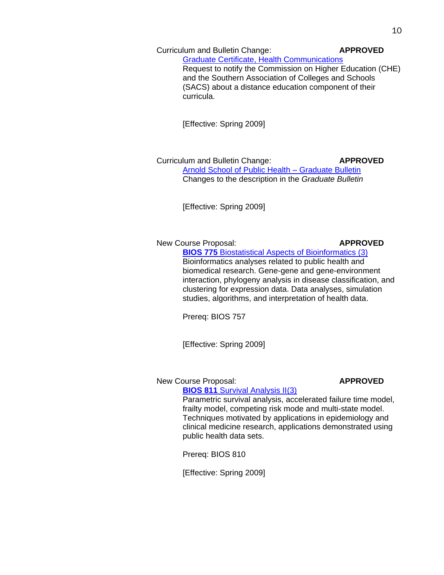Curriculum and Bulletin Change: **APPROVED**

[Graduate Certificate, Health Communications](http://www.gradschool.sc.edu/gradcouncil/Curricula/CBC%20Health%20Communications.pdf) Request to notify the Commission on Higher Education (CHE) and the Southern Association of Colleges and Schools (SACS) about a distance education component of their curricula.

[Effective: Spring 2009]

Curriculum and Bulletin Change: **APPROVED** [Arnold School of Public Health –](http://www.gradschool.sc.edu/gradcouncil/Curricula/CBC_OfficeofAcademicAffairsArnoldSchoolofPublicHealth.pdf) Graduate Bulletin Changes to the description in the *Graduate Bulletin*

[Effective: Spring 2009]

New Course Proposal: **APPROVED** 

**BIOS 775** [Biostatistical Aspects of Bioinformatics \(3\)](http://www.gradschool.sc.edu/gradcouncil/Curricula/NCP%20BIOS%20775.pdf) Bioinformatics analyses related to public health and biomedical research. Gene-gene and gene-environment interaction, phylogeny analysis in disease classification, and clustering for expression data. Data analyses, simulation studies, algorithms, and interpretation of health data.

Prereq: BIOS 757

[Effective: Spring 2009]

New Course Proposal: **APPROVED** 

**BIOS 811** [Survival Analysis II\(3\)](http://www.gradschool.sc.edu/gradcouncil/Curricula/NCP%20BIOS%20811.pdf) Parametric survival analysis, accelerated failure time model, frailty model, competing risk mode and multi-state model. Techniques motivated by applications in epidemiology and clinical medicine research, applications demonstrated using public health data sets.

Prereq: BIOS 810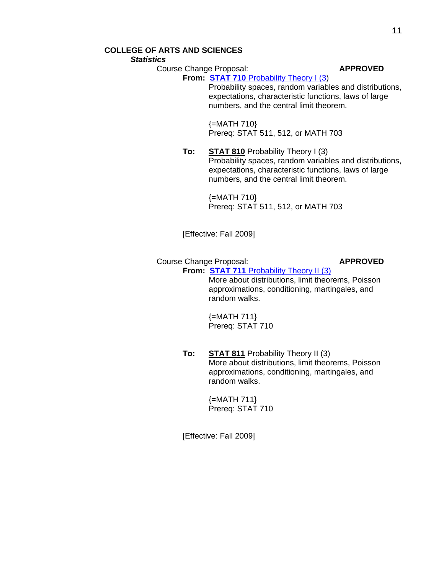# **COLLEGE OF ARTS AND SCIENCES**

*Statistics*

Course Change Proposal: **APPROVED**

**From: STAT 710** [Probability Theory I \(3\)](http://www.gradschool.sc.edu/gradcouncil/Curricula/CCP%20STAT%20710.pdf) Probability spaces, random variables and distributions, expectations, characteristic functions, laws of large numbers, and the central limit theorem.

> {=MATH 710} Prereq: STAT 511, 512, or MATH 703

**To: STAT 810** Probability Theory I (3) Probability spaces, random variables and distributions, expectations, characteristic functions, laws of large numbers, and the central limit theorem.

> $\{=MATH 710\}$ Prereq: STAT 511, 512, or MATH 703

[Effective: Fall 2009]

Course Change Proposal: **APPROVED From: STAT 711** [Probability Theory II \(3\)](http://www.gradschool.sc.edu/gradcouncil/Curricula/CCP%20STAT%20711.pdf)

More about distributions, limit theorems, Poisson approximations, conditioning, martingales, and random walks.

{=MATH 711} Prereq: STAT 710

**To: STAT 811** Probability Theory II (3) More about distributions, limit theorems, Poisson approximations, conditioning, martingales, and random walks.

> {=MATH 711} Prereq: STAT 710

[Effective: Fall 2009]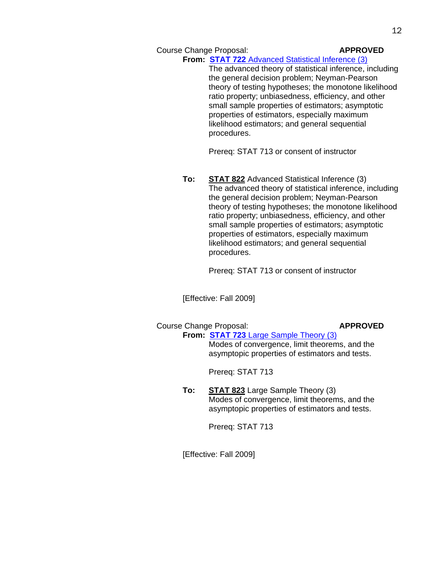Course Change Proposal: **APPROVED** 

# **From: STAT 722** [Advanced Statistical Inference \(3\)](http://www.gradschool.sc.edu/gradcouncil/Curricula/CCP%20STAT%20722.pdf)

The advanced theory of statistical inference, including the general decision problem; Neyman-Pearson theory of testing hypotheses; the monotone likelihood ratio property; unbiasedness, efficiency, and other small sample properties of estimators; asymptotic properties of estimators, especially maximum likelihood estimators; and general sequential procedures.

Prereq: STAT 713 or consent of instructor

**To: STAT 822** Advanced Statistical Inference (3) The advanced theory of statistical inference, including the general decision problem; Neyman-Pearson theory of testing hypotheses; the monotone likelihood ratio property; unbiasedness, efficiency, and other small sample properties of estimators; asymptotic properties of estimators, especially maximum likelihood estimators; and general sequential procedures.

Prereq: STAT 713 or consent of instructor

[Effective: Fall 2009]

## Course Change Proposal: **APPROVED**

**From: STAT 723** [Large Sample Theory \(3\)](http://www.gradschool.sc.edu/gradcouncil/Curricula/CCP%20STAT%20823.pdf) Modes of convergence, limit theorems, and the asymptopic properties of estimators and tests.

Prereq: STAT 713

**To: STAT 823** Large Sample Theory (3) Modes of convergence, limit theorems, and the asymptopic properties of estimators and tests.

Prereq: STAT 713

[Effective: Fall 2009]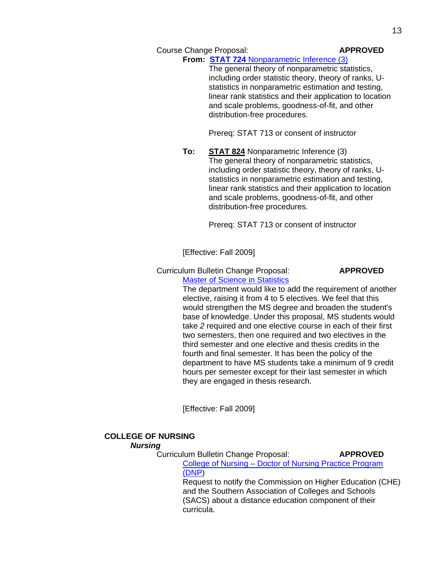### Course Change Proposal: **APPROVED**

# **From: STAT 724** [Nonparametric Inference \(3\)](http://www.gradschool.sc.edu/gradcouncil/Curricula/CCP%20STAT%20724.pdf)

The general theory of nonparametric statistics, including order statistic theory, theory of ranks, Ustatistics in nonparametric estimation and testing, linear rank statistics and their application to location and scale problems, goodness-of-fit, and other distribution-free procedures.

Prereq: STAT 713 or consent of instructor

**To: STAT 824** Nonparametric Inference (3) The general theory of nonparametric statistics, including order statistic theory, theory of ranks, Ustatistics in nonparametric estimation and testing, linear rank statistics and their application to location and scale problems, goodness-of-fit, and other distribution-free procedures.

Prereq: STAT 713 or consent of instructor

[Effective: Fall 2009]

Curriculum Bulletin Change Proposal: **APPROVED**

[Master of Science in Statistics](http://www.gradschool.sc.edu/gradcouncil/Curricula/CBC%20Statistics2.pdf)

The department would like to add the requirement of another elective, raising it from 4 to 5 electives. We feel that this would strengthen the MS degree and broaden the student's base of knowledge. Under this proposal, MS students would take *2* required and one elective course in each of their first two semesters, then one required and two electives in the third semester and one elective and thesis credits in the fourth and final semester. It has been the policy of the department to have MS students take a minimum of 9 credit hours per semester except for their last semester in which they are engaged in thesis research.

[Effective: Fall 2009]

## **COLLEGE OF NURSING**

#### *Nursing*

Curriculum Bulletin Change Proposal: **APPROVED** College of Nursing – [Doctor of Nursing Practice Program](http://www.gradschool.sc.edu/gradcouncil/Curricula/CBC_College_of_Nursing.pdf)  [\(DNP\)](http://www.gradschool.sc.edu/gradcouncil/Curricula/CBC_College_of_Nursing.pdf) Request to notify the Commission on Higher Education (CHE)

and the Southern Association of Colleges and Schools (SACS) about a distance education component of their curricula.